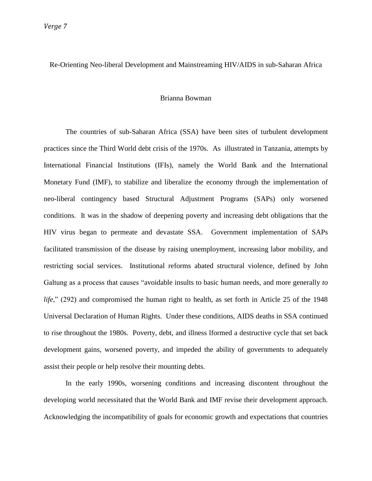*Verge 7*

# Re-Orienting Neo-liberal Development and Mainstreaming HIV/AIDS in sub-Saharan Africa

## Brianna Bowman

The countries of sub-Saharan Africa (SSA) have been sites of turbulent development practices since the Third World debt crisis of the 1970s. As illustrated in Tanzania, attempts by International Financial Institutions (IFIs), namely the World Bank and the International Monetary Fund (IMF), to stabilize and liberalize the economy through the implementation of neo-liberal contingency based Structural Adjustment Programs (SAPs) only worsened conditions. It was in the shadow of deepening poverty and increasing debt obligations that the HIV virus began to permeate and devastate SSA. Government implementation of SAPs facilitated transmission of the disease by raising unemployment, increasing labor mobility, and restricting social services. Institutional reforms abated structural violence, defined by John Galtung as a process that causes "avoidable insults to basic human needs, and more generally *to life*," (292) and compromised the human right to health, as set forth in Article 25 of the 1948 Universal Declaration of Human Rights. Under these conditions, AIDS deaths in SSA continued to rise throughout the 1980s. Poverty, debt, and illness lformed a destructive cycle that set back development gains, worsened poverty, and impeded the ability of governments to adequately assist their people or help resolve their mounting debts.

In the early 1990s, worsening conditions and increasing discontent throughout the developing world necessitated that the World Bank and IMF revise their development approach. Acknowledging the incompatibility of goals for economic growth and expectations that countries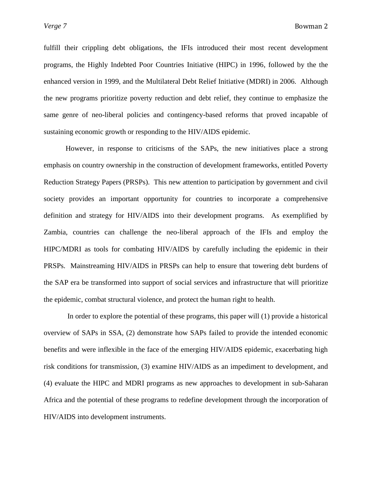fulfill their crippling debt obligations, the IFIs introduced their most recent development programs, the Highly Indebted Poor Countries Initiative (HIPC) in 1996, followed by the the enhanced version in 1999, and the Multilateral Debt Relief Initiative (MDRI) in 2006. Although the new programs prioritize poverty reduction and debt relief, they continue to emphasize the same genre of neo-liberal policies and contingency-based reforms that proved incapable of sustaining economic growth or responding to the HIV/AIDS epidemic.

However, in response to criticisms of the SAPs, the new initiatives place a strong emphasis on country ownership in the construction of development frameworks, entitled Poverty Reduction Strategy Papers (PRSPs). This new attention to participation by government and civil society provides an important opportunity for countries to incorporate a comprehensive definition and strategy for HIV/AIDS into their development programs. As exemplified by Zambia, countries can challenge the neo-liberal approach of the IFIs and employ the HIPC/MDRI as tools for combating HIV/AIDS by carefully including the epidemic in their PRSPs. Mainstreaming HIV/AIDS in PRSPs can help to ensure that towering debt burdens of the SAP era be transformed into support of social services and infrastructure that will prioritize the epidemic, combat structural violence, and protect the human right to health.

In order to explore the potential of these programs, this paper will (1) provide a historical overview of SAPs in SSA, (2) demonstrate how SAPs failed to provide the intended economic benefits and were inflexible in the face of the emerging HIV/AIDS epidemic, exacerbating high risk conditions for transmission, (3) examine HIV/AIDS as an impediment to development, and (4) evaluate the HIPC and MDRI programs as new approaches to development in sub-Saharan Africa and the potential of these programs to redefine development through the incorporation of HIV/AIDS into development instruments.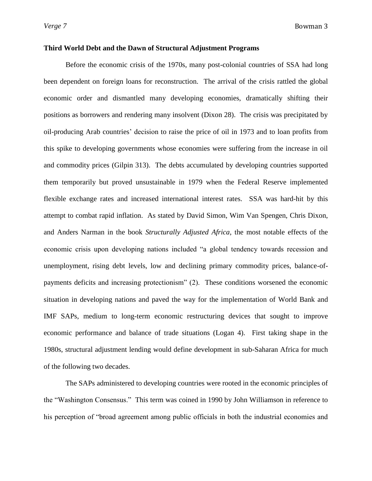## **Third World Debt and the Dawn of Structural Adjustment Programs**

Before the economic crisis of the 1970s, many post-colonial countries of SSA had long been dependent on foreign loans for reconstruction. The arrival of the crisis rattled the global economic order and dismantled many developing economies, dramatically shifting their positions as borrowers and rendering many insolvent (Dixon 28). The crisis was precipitated by oil-producing Arab countries' decision to raise the price of oil in 1973 and to loan profits from this spike to developing governments whose economies were suffering from the increase in oil and commodity prices (Gilpin 313). The debts accumulated by developing countries supported them temporarily but proved unsustainable in 1979 when the Federal Reserve implemented flexible exchange rates and increased international interest rates. SSA was hard-hit by this attempt to combat rapid inflation. As stated by David Simon, Wim Van Spengen, Chris Dixon, and Anders Narman in the book *Structurally Adjusted Africa*, the most notable effects of the economic crisis upon developing nations included "a global tendency towards recession and unemployment, rising debt levels, low and declining primary commodity prices, balance-ofpayments deficits and increasing protectionism" (2). These conditions worsened the economic situation in developing nations and paved the way for the implementation of World Bank and IMF SAPs, medium to long-term economic restructuring devices that sought to improve economic performance and balance of trade situations (Logan 4). First taking shape in the 1980s, structural adjustment lending would define development in sub-Saharan Africa for much of the following two decades.

The SAPs administered to developing countries were rooted in the economic principles of the "Washington Consensus." This term was coined in 1990 by John Williamson in reference to his perception of "broad agreement among public officials in both the industrial economies and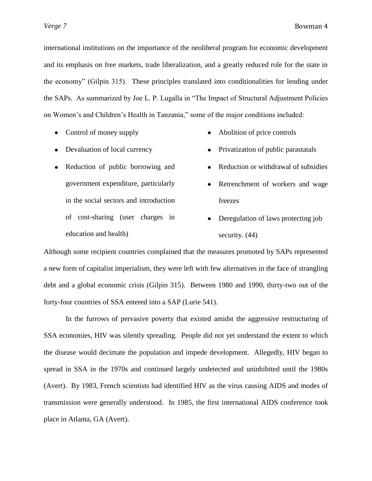international institutions on the importance of the neoliberal program for economic development and its emphasis on free markets, trade liberalization, and a greatly reduced role for the state in the economy‖ (Gilpin 315). These principles translated into conditionalities for lending under the SAPs. As summarized by Joe L. P. Lugalla in "The Impact of Structural Adjustment Policies" on Women's and Children's Health in Tanzania," some of the major conditions included:

- Control of money supply
- Abolition of price controls  $\bullet$

 $\bullet$ 

 $\bullet$ 

- Devaluation of local currency
- Reduction of public borrowing and government expenditure, particularly in the social sectors and introduction of cost-sharing (user charges in education and health)
- 
- Privatization of public parastatals
- Retrenchment of workers and wage  $\bullet$

Reduction or withdrawal of subsidies

- freezes
- Deregulation of laws protecting job security. (44)

Although some recipient countries complained that the measures promoted by SAPs represented a new form of capitalist imperialism, they were left with few alternatives in the face of strangling debt and a global economic crisis (Gilpin 315). Between 1980 and 1990, thirty-two out of the forty-four countries of SSA entered into a SAP (Lurie 541).

In the furrows of pervasive poverty that existed amidst the aggressive restructuring of SSA economies, HIV was silently spreading. People did not yet understand the extent to which the disease would decimate the population and impede development. Allegedly, HIV began to spread in SSA in the 1970s and continued largely undetected and uninhibited until the 1980s (Avert). By 1983, French scientists had identified HIV as the virus causing AIDS and modes of transmission were generally understood. In 1985, the first international AIDS conference took place in Atlanta, GA (Avert).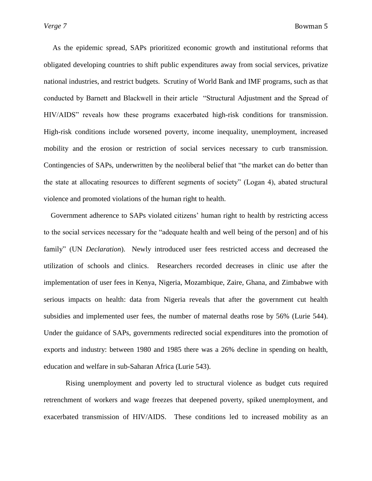As the epidemic spread, SAPs prioritized economic growth and institutional reforms that obligated developing countries to shift public expenditures away from social services, privatize national industries, and restrict budgets. Scrutiny of World Bank and IMF programs, such as that conducted by Barnett and Blackwell in their article "Structural Adjustment and the Spread of HIV/AIDS" reveals how these programs exacerbated high-risk conditions for transmission. High-risk conditions include worsened poverty, income inequality, unemployment, increased mobility and the erosion or restriction of social services necessary to curb transmission. Contingencies of SAPs, underwritten by the neoliberal belief that "the market can do better than the state at allocating resources to different segments of society" (Logan 4), abated structural violence and promoted violations of the human right to health.

Government adherence to SAPs violated citizens' human right to health by restricting access to the social services necessary for the "adequate health and well being of the person] and of his family" (UN *Declaration*). Newly introduced user fees restricted access and decreased the utilization of schools and clinics. Researchers recorded decreases in clinic use after the implementation of user fees in Kenya, Nigeria, Mozambique, Zaire, Ghana, and Zimbabwe with serious impacts on health: data from Nigeria reveals that after the government cut health subsidies and implemented user fees, the number of maternal deaths rose by 56% (Lurie 544). Under the guidance of SAPs, governments redirected social expenditures into the promotion of exports and industry: between 1980 and 1985 there was a 26% decline in spending on health, education and welfare in sub-Saharan Africa (Lurie 543).

Rising unemployment and poverty led to structural violence as budget cuts required retrenchment of workers and wage freezes that deepened poverty, spiked unemployment, and exacerbated transmission of HIV/AIDS. These conditions led to increased mobility as an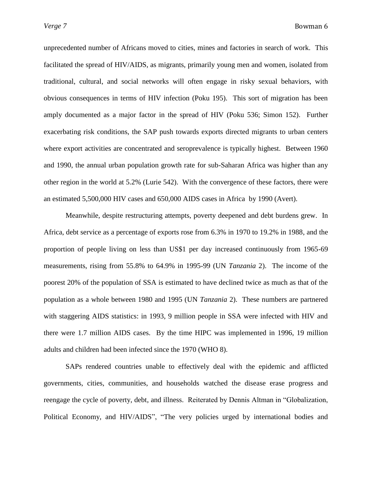unprecedented number of Africans moved to cities, mines and factories in search of work. This facilitated the spread of HIV/AIDS, as migrants, primarily young men and women, isolated from traditional, cultural, and social networks will often engage in risky sexual behaviors, with obvious consequences in terms of HIV infection (Poku 195). This sort of migration has been amply documented as a major factor in the spread of HIV (Poku 536; Simon 152). Further exacerbating risk conditions, the SAP push towards exports directed migrants to urban centers where export activities are concentrated and seroprevalence is typically highest. Between 1960 and 1990, the annual urban population growth rate for sub-Saharan Africa was higher than any other region in the world at 5.2% (Lurie 542). With the convergence of these factors, there were an estimated 5,500,000 HIV cases and 650,000 AIDS cases in Africa by 1990 (Avert).

Meanwhile, despite restructuring attempts, poverty deepened and debt burdens grew. In Africa, debt service as a percentage of exports rose from 6.3% in 1970 to 19.2% in 1988, and the proportion of people living on less than US\$1 per day increased continuously from 1965-69 measurements, rising from 55.8% to 64.9% in 1995-99 (UN *Tanzania* 2). The income of the poorest 20% of the population of SSA is estimated to have declined twice as much as that of the population as a whole between 1980 and 1995 (UN *Tanzania* 2). These numbers are partnered with staggering AIDS statistics: in 1993, 9 million people in SSA were infected with HIV and there were 1.7 million AIDS cases. By the time HIPC was implemented in 1996, 19 million adults and children had been infected since the 1970 (WHO 8).

SAPs rendered countries unable to effectively deal with the epidemic and afflicted governments, cities, communities, and households watched the disease erase progress and reengage the cycle of poverty, debt, and illness. Reiterated by Dennis Altman in "Globalization, Political Economy, and HIV/AIDS", "The very policies urged by international bodies and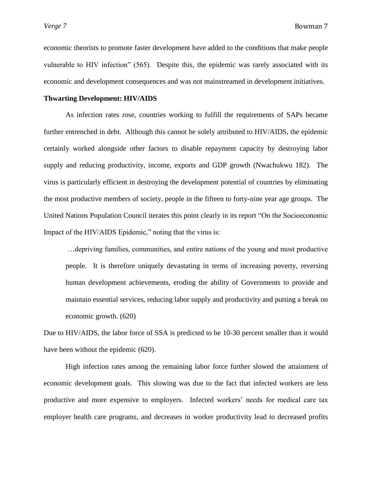economic theorists to promote faster development have added to the conditions that make people vulnerable to HIV infection" (565). Despite this, the epidemic was rarely associated with its economic and development consequences and was not mainstreamed in development initiatives.

# **Thwarting Development: HIV/AIDS**

As infection rates rose, countries working to fulfill the requirements of SAPs became further entrenched in debt. Although this cannot be solely attributed to HIV/AIDS, the epidemic certainly worked alongside other factors to disable repayment capacity by destroying labor supply and reducing productivity, income, exports and GDP growth (Nwachukwu 182). The virus is particularly efficient in destroying the development potential of countries by eliminating the most productive members of society, people in the fifteen to forty-nine year age groups. The United Nations Population Council iterates this point clearly in its report "On the Socioeconomic Impact of the HIV/AIDS Epidemic," noting that the virus is:

…depriving families, communities, and entire nations of the young and most productive people. It is therefore uniquely devastating in terms of increasing poverty, reversing human development achievements, eroding the ability of Governments to provide and maintain essential services, reducing labor supply and productivity and putting a break on economic growth. (620)

Due to HIV/AIDS, the labor force of SSA is predicted to be 10-30 percent smaller than it would have been without the epidemic (620).

High infection rates among the remaining labor force further slowed the attainment of economic development goals. This slowing was due to the fact that infected workers are less productive and more expensive to employers. Infected workers' needs for medical care tax employer health care programs, and decreases in worker productivity lead to decreased profits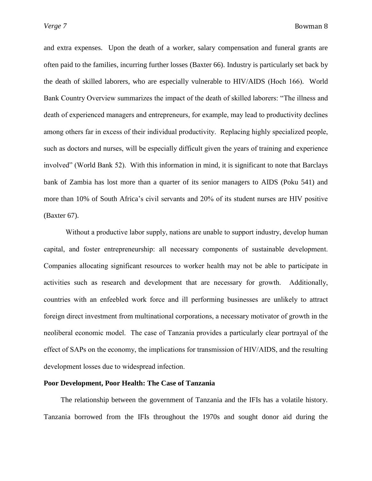and extra expenses. Upon the death of a worker, salary compensation and funeral grants are often paid to the families, incurring further losses (Baxter 66). Industry is particularly set back by the death of skilled laborers, who are especially vulnerable to HIV/AIDS (Hoch 166). World Bank Country Overview summarizes the impact of the death of skilled laborers: "The illness and death of experienced managers and entrepreneurs, for example, may lead to productivity declines among others far in excess of their individual productivity. Replacing highly specialized people, such as doctors and nurses, will be especially difficult given the years of training and experience involved" (World Bank 52). With this information in mind, it is significant to note that Barclays bank of Zambia has lost more than a quarter of its senior managers to AIDS (Poku 541) and more than 10% of South Africa's civil servants and 20% of its student nurses are HIV positive (Baxter 67).

Without a productive labor supply, nations are unable to support industry, develop human capital, and foster entrepreneurship: all necessary components of sustainable development. Companies allocating significant resources to worker health may not be able to participate in activities such as research and development that are necessary for growth. Additionally, countries with an enfeebled work force and ill performing businesses are unlikely to attract foreign direct investment from multinational corporations, a necessary motivator of growth in the neoliberal economic model. The case of Tanzania provides a particularly clear portrayal of the effect of SAPs on the economy, the implications for transmission of HIV/AIDS, and the resulting development losses due to widespread infection.

#### **Poor Development, Poor Health: The Case of Tanzania**

The relationship between the government of Tanzania and the IFIs has a volatile history. Tanzania borrowed from the IFIs throughout the 1970s and sought donor aid during the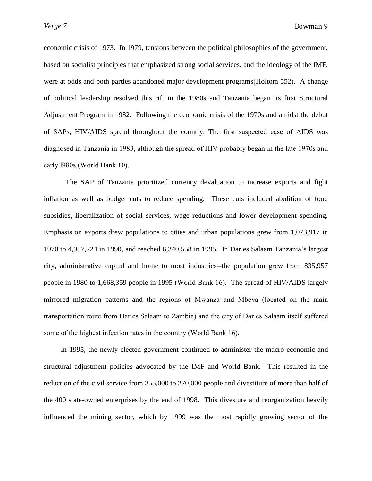economic crisis of 1973. In 1979, tensions between the political philosophies of the government, based on socialist principles that emphasized strong social services, and the ideology of the IMF, were at odds and both parties abandoned major development programs(Holtom 552). A change of political leadership resolved this rift in the 1980s and Tanzania began its first Structural Adjustment Program in 1982. Following the economic crisis of the 1970s and amidst the debut of SAPs, HIV/AIDS spread throughout the country. The first suspected case of AIDS was diagnosed in Tanzania in 1983, although the spread of HIV probably began in the late 1970s and early l980s (World Bank 10).

The SAP of Tanzania prioritized currency devaluation to increase exports and fight inflation as well as budget cuts to reduce spending. These cuts included abolition of food subsidies, liberalization of social services, wage reductions and lower development spending. Emphasis on exports drew populations to cities and urban populations grew from 1,073,917 in 1970 to 4,957,724 in 1990, and reached 6,340,558 in 1995. In Dar es Salaam Tanzania's largest city, administrative capital and home to most industries--the population grew from 835,957 people in 1980 to 1,668,359 people in 1995 (World Bank 16). The spread of HIV/AIDS largely mirrored migration patterns and the regions of Mwanza and Mbeya (located on the main transportation route from Dar es Salaam to Zambia) and the city of Dar es Salaam itself suffered some of the highest infection rates in the country (World Bank 16).

In 1995, the newly elected government continued to administer the macro-economic and structural adjustment policies advocated by the IMF and World Bank. This resulted in the reduction of the civil service from 355,000 to 270,000 people and divestiture of more than half of the 400 state-owned enterprises by the end of 1998. This divesture and reorganization heavily influenced the mining sector, which by 1999 was the most rapidly growing sector of the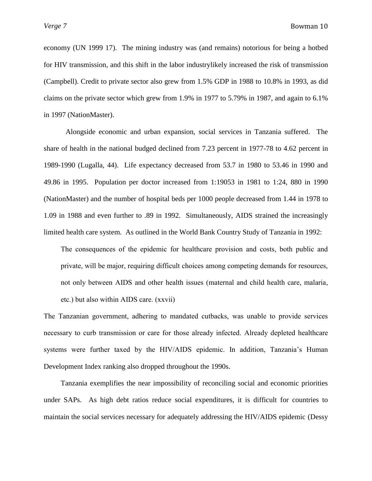economy (UN 1999 17). The mining industry was (and remains) notorious for being a hotbed for HIV transmission, and this shift in the labor industrylikely increased the risk of transmission (Campbell). Credit to private sector also grew from 1.5% GDP in 1988 to 10.8% in 1993, as did claims on the private sector which grew from 1.9% in 1977 to 5.79% in 1987, and again to 6.1% in 1997 (NationMaster).

Alongside economic and urban expansion, social services in Tanzania suffered. The share of health in the national budged declined from 7.23 percent in 1977-78 to 4.62 percent in 1989-1990 (Lugalla, 44). Life expectancy decreased from 53.7 in 1980 to 53.46 in 1990 and 49.86 in 1995. Population per doctor increased from 1:19053 in 1981 to 1:24, 880 in 1990 (NationMaster) and the number of hospital beds per 1000 people decreased from 1.44 in 1978 to 1.09 in 1988 and even further to .89 in 1992. Simultaneously, AIDS strained the increasingly limited health care system. As outlined in the World Bank Country Study of Tanzania in 1992:

The consequences of the epidemic for healthcare provision and costs, both public and private, will be major, requiring difficult choices among competing demands for resources, not only between AIDS and other health issues (maternal and child health care, malaria, etc.) but also within AIDS care. (xxvii)

The Tanzanian government, adhering to mandated cutbacks, was unable to provide services necessary to curb transmission or care for those already infected. Already depleted healthcare systems were further taxed by the HIV/AIDS epidemic. In addition, Tanzania's Human Development Index ranking also dropped throughout the 1990s.

Tanzania exemplifies the near impossibility of reconciling social and economic priorities under SAPs. As high debt ratios reduce social expenditures, it is difficult for countries to maintain the social services necessary for adequately addressing the HIV/AIDS epidemic (Dessy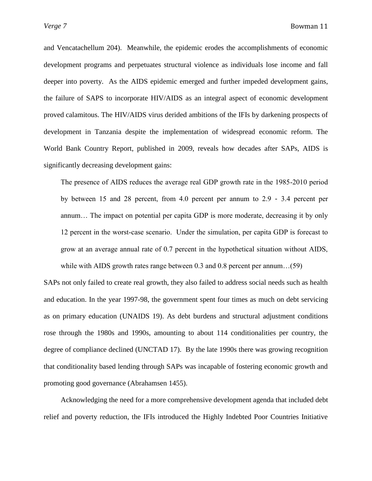and Vencatachellum 204). Meanwhile, the epidemic erodes the accomplishments of economic development programs and perpetuates structural violence as individuals lose income and fall deeper into poverty. As the AIDS epidemic emerged and further impeded development gains, the failure of SAPS to incorporate HIV/AIDS as an integral aspect of economic development proved calamitous. The HIV/AIDS virus derided ambitions of the IFIs by darkening prospects of development in Tanzania despite the implementation of widespread economic reform. The World Bank Country Report, published in 2009, reveals how decades after SAPs, AIDS is significantly decreasing development gains:

The presence of AIDS reduces the average real GDP growth rate in the 1985-2010 period by between 15 and 28 percent, from 4.0 percent per annum to 2.9 - 3.4 percent per annum… The impact on potential per capita GDP is more moderate, decreasing it by only 12 percent in the worst-case scenario. Under the simulation, per capita GDP is forecast to grow at an average annual rate of 0.7 percent in the hypothetical situation without AIDS, while with AIDS growth rates range between 0.3 and 0.8 percent per annum…(59)

SAPs not only failed to create real growth, they also failed to address social needs such as health and education. In the year 1997-98, the government spent four times as much on debt servicing as on primary education (UNAIDS 19). As debt burdens and structural adjustment conditions rose through the 1980s and 1990s, amounting to about 114 conditionalities per country, the degree of compliance declined (UNCTAD 17). By the late 1990s there was growing recognition that conditionality based lending through SAPs was incapable of fostering economic growth and promoting good governance (Abrahamsen 1455).

Acknowledging the need for a more comprehensive development agenda that included debt relief and poverty reduction, the IFIs introduced the Highly Indebted Poor Countries Initiative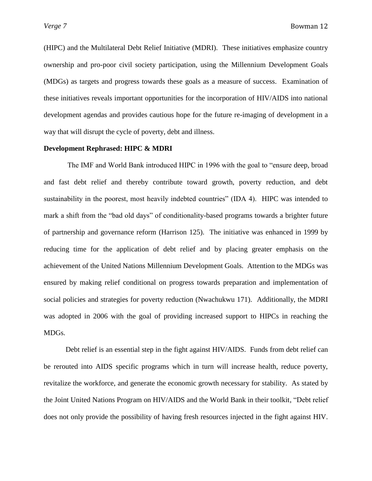(HIPC) and the Multilateral Debt Relief Initiative (MDRI). These initiatives emphasize country ownership and pro-poor civil society participation, using the Millennium Development Goals (MDGs) as targets and progress towards these goals as a measure of success. Examination of these initiatives reveals important opportunities for the incorporation of HIV/AIDS into national development agendas and provides cautious hope for the future re-imaging of development in a way that will disrupt the cycle of poverty, debt and illness.

# **Development Rephrased: HIPC & MDRI**

The IMF and World Bank introduced HIPC in 1996 with the goal to "ensure deep, broad" and fast debt relief and thereby contribute toward growth, poverty reduction, and debt sustainability in the poorest, most heavily indebted countries" (IDA 4). HIPC was intended to mark a shift from the "bad old days" of conditionality-based programs towards a brighter future of partnership and governance reform (Harrison 125). The initiative was enhanced in 1999 by reducing time for the application of debt relief and by placing greater emphasis on the achievement of the United Nations Millennium Development Goals. Attention to the MDGs was ensured by making relief conditional on progress towards preparation and implementation of social policies and strategies for poverty reduction (Nwachukwu 171). Additionally, the MDRI was adopted in 2006 with the goal of providing increased support to HIPCs in reaching the MDGs.

Debt relief is an essential step in the fight against HIV/AIDS. Funds from debt relief can be rerouted into AIDS specific programs which in turn will increase health, reduce poverty, revitalize the workforce, and generate the economic growth necessary for stability. As stated by the Joint United Nations Program on HIV/AIDS and the World Bank in their toolkit, "Debt relief does not only provide the possibility of having fresh resources injected in the fight against HIV.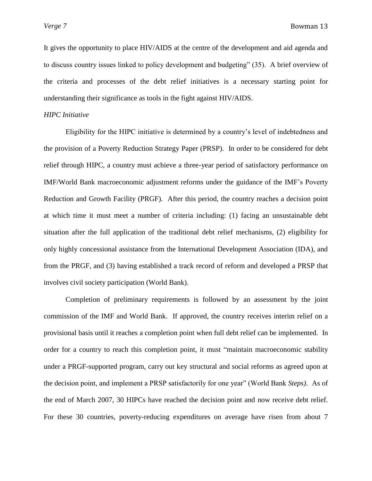It gives the opportunity to place HIV/AIDS at the centre of the development and aid agenda and to discuss country issues linked to policy development and budgeting" (35). A brief overview of the criteria and processes of the debt relief initiatives is a necessary starting point for understanding their significance as tools in the fight against HIV/AIDS.

## *HIPC Initiative*

Eligibility for the HIPC initiative is determined by a country's level of indebtedness and the provision of a Poverty Reduction Strategy Paper (PRSP). In order to be considered for debt relief through HIPC, a country must achieve a three-year period of satisfactory performance on IMF/World Bank macroeconomic adjustment reforms under the guidance of the IMF's Poverty Reduction and Growth Facility (PRGF). After this period, the country reaches a decision point at which time it must meet a number of criteria including: (1) facing an unsustainable debt situation after the full application of the traditional debt relief mechanisms, (2) eligibility for only highly concessional assistance from the International Development Association (IDA), and from the PRGF, and (3) having established a track record of reform and developed a PRSP that involves civil society participation (World Bank).

Completion of preliminary requirements is followed by an assessment by the joint commission of the IMF and World Bank. If approved, the country receives interim relief on a provisional basis until it reaches a completion point when full debt relief can be implemented. In order for a country to reach this completion point, it must "maintain macroeconomic stability under a PRGF-supported program, carry out key structural and social reforms as agreed upon at the decision point, and implement a PRSP satisfactorily for one year" (World Bank *Steps*). As of the end of March 2007, 30 HIPCs have reached the decision point and now receive debt relief. For these 30 countries, poverty-reducing expenditures on average have risen from about 7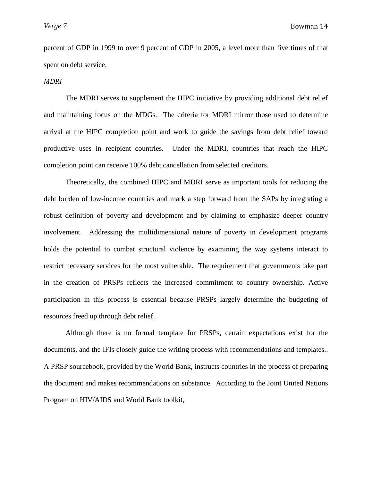percent of GDP in 1999 to over 9 percent of GDP in 2005, a level more than five times of that spent on debt service.

## *MDRI*

The MDRI serves to supplement the HIPC initiative by providing additional debt relief and maintaining focus on the MDGs. The criteria for MDRI mirror those used to determine arrival at the HIPC completion point and work to guide the savings from debt relief toward productive uses in recipient countries. Under the MDRI, countries that reach the HIPC completion point can receive 100% debt cancellation from selected creditors.

Theoretically, the combined HIPC and MDRI serve as important tools for reducing the debt burden of low-income countries and mark a step forward from the SAPs by integrating a robust definition of poverty and development and by claiming to emphasize deeper country involvement. Addressing the multidimensional nature of poverty in development programs holds the potential to combat structural violence by examining the way systems interact to restrict necessary services for the most vulnerable. The requirement that governments take part in the creation of PRSPs reflects the increased commitment to country ownership. Active participation in this process is essential because PRSPs largely determine the budgeting of resources freed up through debt relief.

Although there is no formal template for PRSPs, certain expectations exist for the documents, and the IFIs closely guide the writing process with recommendations and templates.. A PRSP sourcebook, provided by the World Bank, instructs countries in the process of preparing the document and makes recommendations on substance. According to the Joint United Nations Program on HIV/AIDS and World Bank toolkit,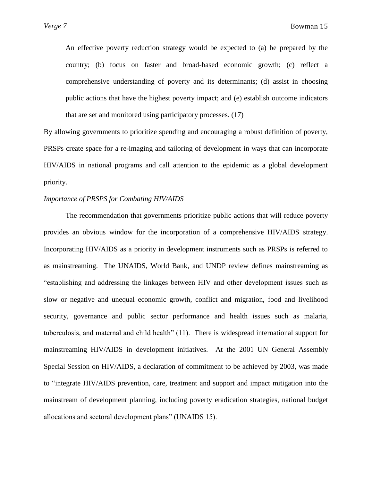An effective poverty reduction strategy would be expected to (a) be prepared by the country; (b) focus on faster and broad-based economic growth; (c) reflect a comprehensive understanding of poverty and its determinants; (d) assist in choosing public actions that have the highest poverty impact; and (e) establish outcome indicators that are set and monitored using participatory processes. (17)

By allowing governments to prioritize spending and encouraging a robust definition of poverty, PRSPs create space for a re-imaging and tailoring of development in ways that can incorporate HIV/AIDS in national programs and call attention to the epidemic as a global development priority.

# *Importance of PRSPS for Combating HIV/AIDS*

The recommendation that governments prioritize public actions that will reduce poverty provides an obvious window for the incorporation of a comprehensive HIV/AIDS strategy. Incorporating HIV/AIDS as a priority in development instruments such as PRSPs is referred to as mainstreaming. The UNAIDS, World Bank, and UNDP review defines mainstreaming as ―establishing and addressing the linkages between HIV and other development issues such as slow or negative and unequal economic growth, conflict and migration, food and livelihood security, governance and public sector performance and health issues such as malaria, tuberculosis, and maternal and child health" (11). There is widespread international support for mainstreaming HIV/AIDS in development initiatives. At the 2001 UN General Assembly Special Session on HIV/AIDS, a declaration of commitment to be achieved by 2003, was made to "integrate HIV/AIDS prevention, care, treatment and support and impact mitigation into the mainstream of development planning, including poverty eradication strategies, national budget allocations and sectoral development plans" (UNAIDS 15).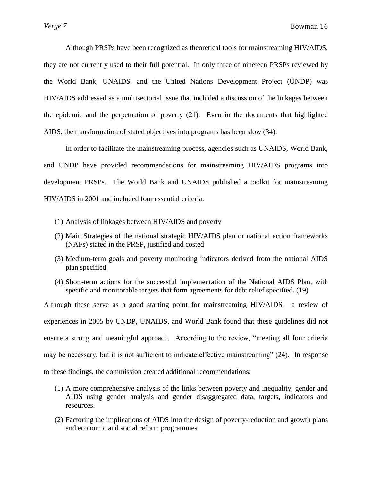Although PRSPs have been recognized as theoretical tools for mainstreaming HIV/AIDS, they are not currently used to their full potential. In only three of nineteen PRSPs reviewed by the World Bank, UNAIDS, and the United Nations Development Project (UNDP) was HIV/AIDS addressed as a multisectorial issue that included a discussion of the linkages between the epidemic and the perpetuation of poverty (21). Even in the documents that highlighted AIDS, the transformation of stated objectives into programs has been slow (34).

In order to facilitate the mainstreaming process, agencies such as UNAIDS, World Bank, and UNDP have provided recommendations for mainstreaming HIV/AIDS programs into development PRSPs. The World Bank and UNAIDS published a toolkit for mainstreaming HIV/AIDS in 2001 and included four essential criteria:

- (1) Analysis of linkages between HIV/AIDS and poverty
- (2) Main Strategies of the national strategic HIV/AIDS plan or national action frameworks (NAFs) stated in the PRSP, justified and costed
- (3) Medium-term goals and poverty monitoring indicators derived from the national AIDS plan specified
- (4) Short-term actions for the successful implementation of the National AIDS Plan, with specific and monitorable targets that form agreements for debt relief specified. (19)

Although these serve as a good starting point for mainstreaming HIV/AIDS, a review of experiences in 2005 by UNDP, UNAIDS, and World Bank found that these guidelines did not ensure a strong and meaningful approach. According to the review, "meeting all four criteria may be necessary, but it is not sufficient to indicate effective mainstreaming"  $(24)$ . In response to these findings, the commission created additional recommendations:

- (1) A more comprehensive analysis of the links between poverty and inequality, gender and AIDS using gender analysis and gender disaggregated data, targets, indicators and resources.
- (2) Factoring the implications of AIDS into the design of poverty-reduction and growth plans and economic and social reform programmes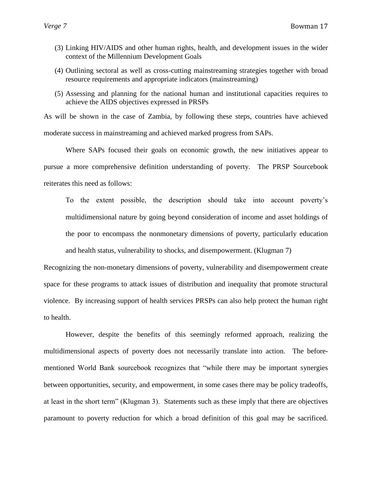- (3) Linking HIV/AIDS and other human rights, health, and development issues in the wider context of the Millennium Development Goals
- (4) Outlining sectoral as well as cross-cutting mainstreaming strategies together with broad resource requirements and appropriate indicators (mainstreaming)
- (5) Assessing and planning for the national human and institutional capacities requires to achieve the AIDS objectives expressed in PRSPs

As will be shown in the case of Zambia, by following these steps, countries have achieved moderate success in mainstreaming and achieved marked progress from SAPs.

Where SAPs focused their goals on economic growth, the new initiatives appear to pursue a more comprehensive definition understanding of poverty. The PRSP Sourcebook reiterates this need as follows:

To the extent possible, the description should take into account poverty's multidimensional nature by going beyond consideration of income and asset holdings of the poor to encompass the nonmonetary dimensions of poverty, particularly education and health status, vulnerability to shocks, and disempowerment. (Klugman 7)

Recognizing the non-monetary dimensions of poverty, vulnerability and disempowerment create space for these programs to attack issues of distribution and inequality that promote structural violence. By increasing support of health services PRSPs can also help protect the human right to health.

However, despite the benefits of this seemingly reformed approach, realizing the multidimensional aspects of poverty does not necessarily translate into action. The beforementioned World Bank sourcebook recognizes that "while there may be important synergies between opportunities, security, and empowerment, in some cases there may be policy tradeoffs, at least in the short term" (Klugman 3). Statements such as these imply that there are objectives paramount to poverty reduction for which a broad definition of this goal may be sacrificed.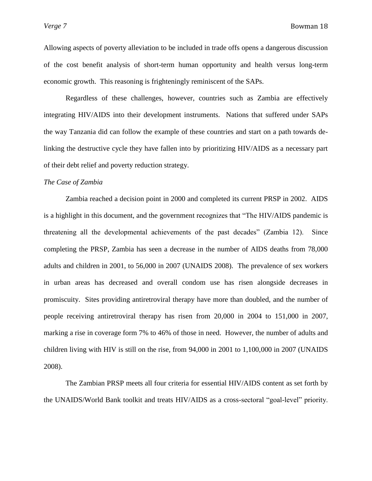Allowing aspects of poverty alleviation to be included in trade offs opens a dangerous discussion of the cost benefit analysis of short-term human opportunity and health versus long-term economic growth. This reasoning is frighteningly reminiscent of the SAPs.

Regardless of these challenges, however, countries such as Zambia are effectively integrating HIV/AIDS into their development instruments. Nations that suffered under SAPs the way Tanzania did can follow the example of these countries and start on a path towards delinking the destructive cycle they have fallen into by prioritizing HIV/AIDS as a necessary part of their debt relief and poverty reduction strategy.

## *The Case of Zambia*

Zambia reached a decision point in 2000 and completed its current PRSP in 2002. AIDS is a highlight in this document, and the government recognizes that "The HIV/AIDS pandemic is threatening all the developmental achievements of the past decades" (Zambia 12). Since completing the PRSP, Zambia has seen a decrease in the number of AIDS deaths from 78,000 adults and children in 2001, to 56,000 in 2007 (UNAIDS 2008). The prevalence of sex workers in urban areas has decreased and overall condom use has risen alongside decreases in promiscuity. Sites providing antiretroviral therapy have more than doubled, and the number of people receiving antiretroviral therapy has risen from 20,000 in 2004 to 151,000 in 2007, marking a rise in coverage form 7% to 46% of those in need. However, the number of adults and children living with HIV is still on the rise, from 94,000 in 2001 to 1,100,000 in 2007 (UNAIDS 2008).

The Zambian PRSP meets all four criteria for essential HIV/AIDS content as set forth by the UNAIDS/World Bank toolkit and treats HIV/AIDS as a cross-sectoral "goal-level" priority.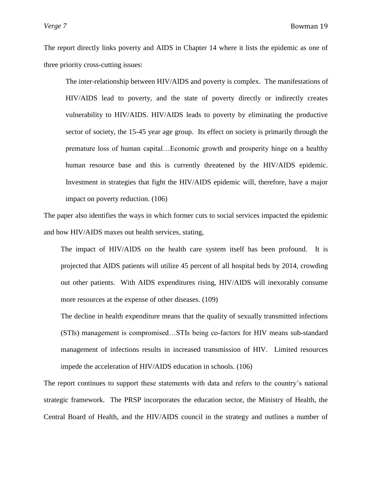The report directly links poverty and AIDS in Chapter 14 where it lists the epidemic as one of three priority cross-cutting issues:

The inter-relationship between HIV/AIDS and poverty is complex. The manifestations of HIV/AIDS lead to poverty, and the state of poverty directly or indirectly creates vulnerability to HIV/AIDS. HIV/AIDS leads to poverty by eliminating the productive sector of society, the 15-45 year age group. Its effect on society is primarily through the premature loss of human capital…Economic growth and prosperity hinge on a healthy human resource base and this is currently threatened by the HIV/AIDS epidemic. Investment in strategies that fight the HIV/AIDS epidemic will, therefore, have a major impact on poverty reduction. (106)

The paper also identifies the ways in which former cuts to social services impacted the epidemic and how HIV/AIDS maxes out health services, stating,

The impact of HIV/AIDS on the health care system itself has been profound. It is projected that AIDS patients will utilize 45 percent of all hospital beds by 2014, crowding out other patients. With AIDS expenditures rising, HIV/AIDS will inexorably consume more resources at the expense of other diseases. (109)

The decline in health expenditure means that the quality of sexually transmitted infections (STIs) management is compromised…STIs being co-factors for HIV means sub-standard management of infections results in increased transmission of HIV. Limited resources impede the acceleration of HIV/AIDS education in schools. (106)

The report continues to support these statements with data and refers to the country's national strategic framework. The PRSP incorporates the education sector, the Ministry of Health, the Central Board of Health, and the HIV/AIDS council in the strategy and outlines a number of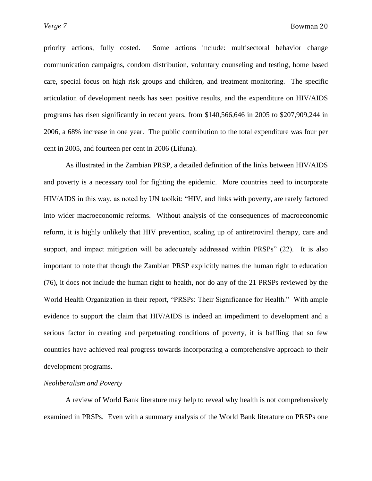priority actions, fully costed. Some actions include: multisectoral behavior change communication campaigns, condom distribution, voluntary counseling and testing, home based care, special focus on high risk groups and children, and treatment monitoring. The specific articulation of development needs has seen positive results, and the expenditure on HIV/AIDS programs has risen significantly in recent years, from \$140,566,646 in 2005 to \$207,909,244 in 2006, a 68% increase in one year. The public contribution to the total expenditure was four per cent in 2005, and fourteen per cent in 2006 (Lifuna).

As illustrated in the Zambian PRSP, a detailed definition of the links between HIV/AIDS and poverty is a necessary tool for fighting the epidemic. More countries need to incorporate HIV/AIDS in this way, as noted by UN toolkit: "HIV, and links with poverty, are rarely factored into wider macroeconomic reforms. Without analysis of the consequences of macroeconomic reform, it is highly unlikely that HIV prevention, scaling up of antiretroviral therapy, care and support, and impact mitigation will be adequately addressed within  $PRSPs''$  (22). It is also important to note that though the Zambian PRSP explicitly names the human right to education (76), it does not include the human right to health, nor do any of the 21 PRSPs reviewed by the World Health Organization in their report, "PRSPs: Their Significance for Health." With ample evidence to support the claim that HIV/AIDS is indeed an impediment to development and a serious factor in creating and perpetuating conditions of poverty, it is baffling that so few countries have achieved real progress towards incorporating a comprehensive approach to their development programs.

# *Neoliberalism and Poverty*

A review of World Bank literature may help to reveal why health is not comprehensively examined in PRSPs. Even with a summary analysis of the World Bank literature on PRSPs one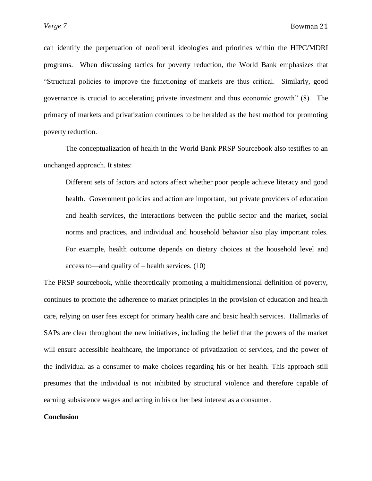can identify the perpetuation of neoliberal ideologies and priorities within the HIPC/MDRI programs. When discussing tactics for poverty reduction, the World Bank emphasizes that ―Structural policies to improve the functioning of markets are thus critical. Similarly, good governance is crucial to accelerating private investment and thus economic growth" (8). The primacy of markets and privatization continues to be heralded as the best method for promoting poverty reduction.

The conceptualization of health in the World Bank PRSP Sourcebook also testifies to an unchanged approach. It states:

Different sets of factors and actors affect whether poor people achieve literacy and good health. Government policies and action are important, but private providers of education and health services, the interactions between the public sector and the market, social norms and practices, and individual and household behavior also play important roles. For example, health outcome depends on dietary choices at the household level and access to—and quality of – health services. (10)

The PRSP sourcebook, while theoretically promoting a multidimensional definition of poverty, continues to promote the adherence to market principles in the provision of education and health care, relying on user fees except for primary health care and basic health services. Hallmarks of SAPs are clear throughout the new initiatives, including the belief that the powers of the market will ensure accessible healthcare, the importance of privatization of services, and the power of the individual as a consumer to make choices regarding his or her health. This approach still presumes that the individual is not inhibited by structural violence and therefore capable of earning subsistence wages and acting in his or her best interest as a consumer.

## **Conclusion**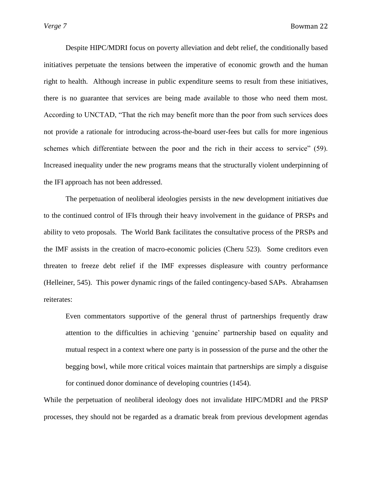Despite HIPC/MDRI focus on poverty alleviation and debt relief, the conditionally based initiatives perpetuate the tensions between the imperative of economic growth and the human right to health. Although increase in public expenditure seems to result from these initiatives, there is no guarantee that services are being made available to those who need them most. According to UNCTAD, "That the rich may benefit more than the poor from such services does not provide a rationale for introducing across-the-board user-fees but calls for more ingenious schemes which differentiate between the poor and the rich in their access to service" (59). Increased inequality under the new programs means that the structurally violent underpinning of the IFI approach has not been addressed.

The perpetuation of neoliberal ideologies persists in the new development initiatives due to the continued control of IFIs through their heavy involvement in the guidance of PRSPs and ability to veto proposals. The World Bank facilitates the consultative process of the PRSPs and the IMF assists in the creation of macro-economic policies (Cheru 523). Some creditors even threaten to freeze debt relief if the IMF expresses displeasure with country performance (Helleiner, 545). This power dynamic rings of the failed contingency-based SAPs. Abrahamsen reiterates:

Even commentators supportive of the general thrust of partnerships frequently draw attention to the difficulties in achieving ‗genuine' partnership based on equality and mutual respect in a context where one party is in possession of the purse and the other the begging bowl, while more critical voices maintain that partnerships are simply a disguise for continued donor dominance of developing countries (1454).

While the perpetuation of neoliberal ideology does not invalidate HIPC/MDRI and the PRSP processes, they should not be regarded as a dramatic break from previous development agendas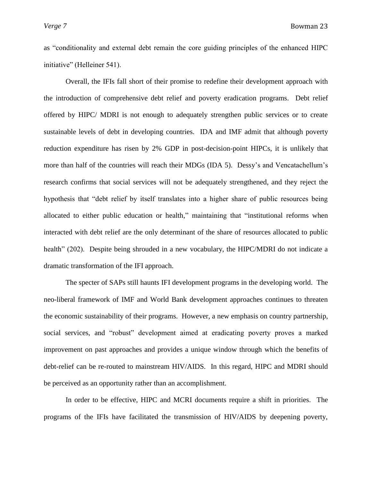as "conditionality and external debt remain the core guiding principles of the enhanced HIPC initiative" (Helleiner 541).

Overall, the IFIs fall short of their promise to redefine their development approach with the introduction of comprehensive debt relief and poverty eradication programs. Debt relief offered by HIPC/ MDRI is not enough to adequately strengthen public services or to create sustainable levels of debt in developing countries. IDA and IMF admit that although poverty reduction expenditure has risen by 2% GDP in post-decision-point HIPCs, it is unlikely that more than half of the countries will reach their MDGs (IDA 5). Dessy's and Vencatachellum's research confirms that social services will not be adequately strengthened, and they reject the hypothesis that "debt relief by itself translates into a higher share of public resources being allocated to either public education or health," maintaining that "institutional reforms when interacted with debt relief are the only determinant of the share of resources allocated to public health" (202). Despite being shrouded in a new vocabulary, the HIPC/MDRI do not indicate a dramatic transformation of the IFI approach.

The specter of SAPs still haunts IFI development programs in the developing world. The neo-liberal framework of IMF and World Bank development approaches continues to threaten the economic sustainability of their programs. However, a new emphasis on country partnership, social services, and "robust" development aimed at eradicating poverty proves a marked improvement on past approaches and provides a unique window through which the benefits of debt-relief can be re-routed to mainstream HIV/AIDS. In this regard, HIPC and MDRI should be perceived as an opportunity rather than an accomplishment.

In order to be effective, HIPC and MCRI documents require a shift in priorities. The programs of the IFIs have facilitated the transmission of HIV/AIDS by deepening poverty,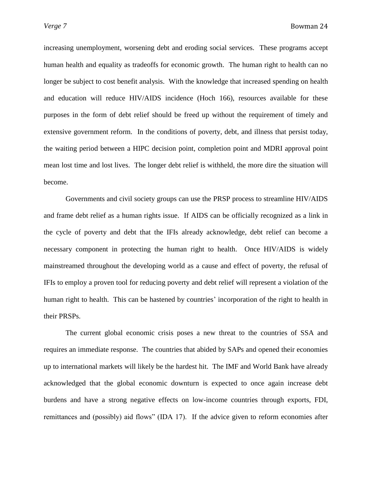increasing unemployment, worsening debt and eroding social services. These programs accept human health and equality as tradeoffs for economic growth. The human right to health can no longer be subject to cost benefit analysis. With the knowledge that increased spending on health and education will reduce HIV/AIDS incidence (Hoch 166), resources available for these purposes in the form of debt relief should be freed up without the requirement of timely and extensive government reform. In the conditions of poverty, debt, and illness that persist today, the waiting period between a HIPC decision point, completion point and MDRI approval point mean lost time and lost lives. The longer debt relief is withheld, the more dire the situation will become.

Governments and civil society groups can use the PRSP process to streamline HIV/AIDS and frame debt relief as a human rights issue. If AIDS can be officially recognized as a link in the cycle of poverty and debt that the IFIs already acknowledge, debt relief can become a necessary component in protecting the human right to health. Once HIV/AIDS is widely mainstreamed throughout the developing world as a cause and effect of poverty, the refusal of IFIs to employ a proven tool for reducing poverty and debt relief will represent a violation of the human right to health. This can be hastened by countries' incorporation of the right to health in their PRSPs.

The current global economic crisis poses a new threat to the countries of SSA and requires an immediate response. The countries that abided by SAPs and opened their economies up to international markets will likely be the hardest hit. The IMF and World Bank have already acknowledged that the global economic downturn is expected to once again increase debt burdens and have a strong negative effects on low-income countries through exports, FDI, remittances and (possibly) aid flows" (IDA 17). If the advice given to reform economies after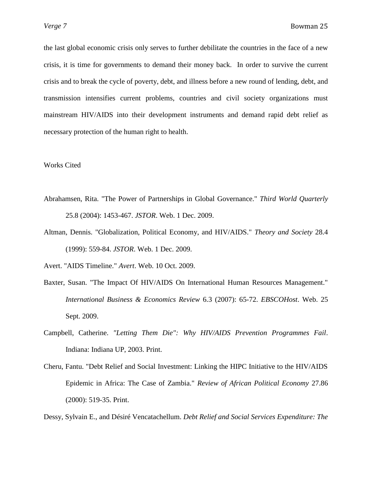the last global economic crisis only serves to further debilitate the countries in the face of a new crisis, it is time for governments to demand their money back. In order to survive the current crisis and to break the cycle of poverty, debt, and illness before a new round of lending, debt, and transmission intensifies current problems, countries and civil society organizations must mainstream HIV/AIDS into their development instruments and demand rapid debt relief as necessary protection of the human right to health.

#### Works Cited

- Abrahamsen, Rita. "The Power of Partnerships in Global Governance." *Third World Quarterly* 25.8 (2004): 1453-467. *JSTOR*. Web. 1 Dec. 2009.
- Altman, Dennis. "Globalization, Political Economy, and HIV/AIDS." *Theory and Society* 28.4 (1999): 559-84. *JSTOR*. Web. 1 Dec. 2009.

Avert. "AIDS Timeline." *Avert*. Web. 10 Oct. 2009.

- Baxter, Susan. "The Impact Of HIV/AIDS On International Human Resources Management." *International Business & Economics Review* 6.3 (2007): 65-72. *EBSCOHost*. Web. 25 Sept. 2009.
- Campbell, Catherine. *"Letting Them Die": Why HIV/AIDS Prevention Programmes Fail*. Indiana: Indiana UP, 2003. Print.
- Cheru, Fantu. "Debt Relief and Social Investment: Linking the HIPC Initiative to the HIV/AIDS Epidemic in Africa: The Case of Zambia." *Review of African Political Economy* 27.86 (2000): 519-35. Print.

Dessy, Sylvain E., and Désiré Vencatachellum. *Debt Relief and Social Services Expenditure: The*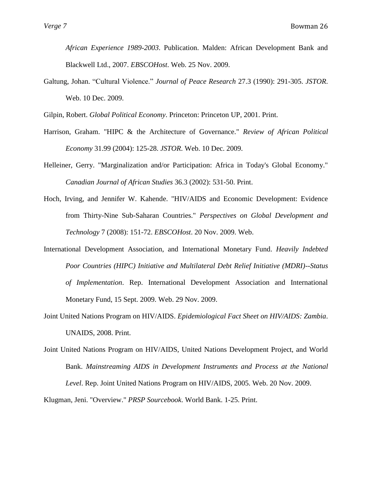*African Experience 1989-2003*. Publication. Malden: African Development Bank and Blackwell Ltd., 2007. *EBSCOHost*. Web. 25 Nov. 2009.

Galtung, Johan. "Cultural Violence." *Journal of Peace Research* 27.3 (1990): 291-305. *JSTOR*. Web. 10 Dec. 2009.

Gilpin, Robert. *Global Political Economy*. Princeton: Princeton UP, 2001. Print.

- Harrison, Graham. "HIPC & the Architecture of Governance." *Review of African Political Economy* 31.99 (2004): 125-28. *JSTOR*. Web. 10 Dec. 2009.
- Helleiner, Gerry. "Marginalization and/or Participation: Africa in Today's Global Economy." *Canadian Journal of African Studies* 36.3 (2002): 531-50. Print.
- Hoch, Irving, and Jennifer W. Kahende. "HIV/AIDS and Economic Development: Evidence from Thirty-Nine Sub-Saharan Countries." *Perspectives on Global Development and Technology* 7 (2008): 151-72. *EBSCOHost*. 20 Nov. 2009. Web.
- International Development Association, and International Monetary Fund. *Heavily Indebted Poor Countries (HIPC) Initiative and Multilateral Debt Relief Initiative (MDRI)--Status of Implementation*. Rep. International Development Association and International Monetary Fund, 15 Sept. 2009. Web. 29 Nov. 2009.
- Joint United Nations Program on HIV/AIDS. *Epidemiological Fact Sheet on HIV/AIDS: Zambia*. UNAIDS, 2008. Print.
- Joint United Nations Program on HIV/AIDS, United Nations Development Project, and World Bank. *Mainstreaming AIDS in Development Instruments and Process at the National Level*. Rep. Joint United Nations Program on HIV/AIDS, 2005. Web. 20 Nov. 2009.

Klugman, Jeni. "Overview." *PRSP Sourcebook*. World Bank. 1-25. Print.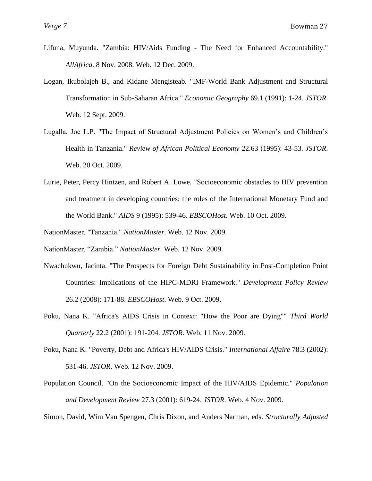- Lifuna, Muyunda. "Zambia: HIV/Aids Funding The Need for Enhanced Accountability." *AllAfrica*. 8 Nov. 2008. Web. 12 Dec. 2009.
- Logan, Ikubolajeh B., and Kidane Mengisteab. "IMF-World Bank Adjustment and Structural Transformation in Sub-Saharan Africa." *Economic Geography* 69.1 (1991): 1-24. *JSTOR*. Web. 12 Sept. 2009.
- Lugalla, Joe L.P. "The Impact of Structural Adjustment Policies on Women's and Children's Health in Tanzania." *Review of African Political Economy* 22.63 (1995): 43-53. *JSTOR*. Web. 20 Oct. 2009.
- Lurie, Peter, Percy Hintzen, and Robert A. Lowe. "Socioeconomic obstacles to HIV prevention and treatment in developing countries: the roles of the International Monetary Fund and the World Bank." *AIDS* 9 (1995): 539-46. *EBSCOHost*. Web. 10 Oct. 2009.
- NationMaster. "Tanzania." *NationMaster*. Web. 12 Nov. 2009.
- NationMaster. "Zambia." *NationMaster*. Web. 12 Nov. 2009.
- Nwachukwu, Jacinta. "The Prospects for Foreign Debt Sustainability in Post-Completion Point Countries: Implications of the HIPC-MDRI Framework." *Development Policy Review* 26.2 (2008): 171-88. *EBSCOHost*. Web. 9 Oct. 2009.
- Poku, Nana K. "Africa's AIDS Crisis in Context: "How the Poor are Dying"" *Third World Quarterly* 22.2 (2001): 191-204. *JSTOR*. Web. 11 Nov. 2009.
- Poku, Nana K. "Poverty, Debt and Africa's HIV/AIDS Crisis." *International Affaire* 78.3 (2002): 531-46. *JSTOR*. Web. 12 Nov. 2009.
- Population Council. "On the Socioeconomic Impact of the HIV/AIDS Epidemic." *Population and Development Review* 27.3 (2001): 619-24. *JSTOR*. Web. 4 Nov. 2009.

Simon, David, Wim Van Spengen, Chris Dixon, and Anders Narman, eds. *Structurally Adjusted*